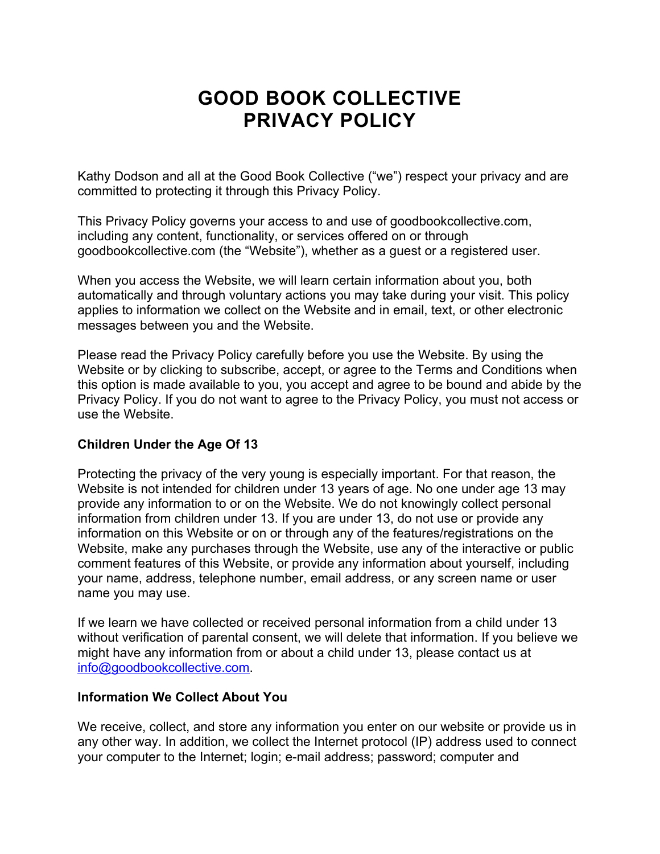# **GOOD BOOK COLLECTIVE PRIVACY POLICY**

Kathy Dodson and all at the Good Book Collective ("we") respect your privacy and are committed to protecting it through this Privacy Policy.

This Privacy Policy governs your access to and use of goodbookcollective.com, including any content, functionality, or services offered on or through goodbookcollective.com (the "Website"), whether as a guest or a registered user.

When you access the Website, we will learn certain information about you, both automatically and through voluntary actions you may take during your visit. This policy applies to information we collect on the Website and in email, text, or other electronic messages between you and the Website.

Please read the Privacy Policy carefully before you use the Website. By using the Website or by clicking to subscribe, accept, or agree to the Terms and Conditions when this option is made available to you, you accept and agree to be bound and abide by the Privacy Policy. If you do not want to agree to the Privacy Policy, you must not access or use the Website.

## **Children Under the Age Of 13**

Protecting the privacy of the very young is especially important. For that reason, the Website is not intended for children under 13 years of age. No one under age 13 may provide any information to or on the Website. We do not knowingly collect personal information from children under 13. If you are under 13, do not use or provide any information on this Website or on or through any of the features/registrations on the Website, make any purchases through the Website, use any of the interactive or public comment features of this Website, or provide any information about yourself, including your name, address, telephone number, email address, or any screen name or user name you may use.

If we learn we have collected or received personal information from a child under 13 without verification of parental consent, we will delete that information. If you believe we might have any information from or about a child under 13, please contact us at info@goodbookcollective.com.

#### **Information We Collect About You**

We receive, collect, and store any information you enter on our website or provide us in any other way. In addition, we collect the Internet protocol (IP) address used to connect your computer to the Internet; login; e-mail address; password; computer and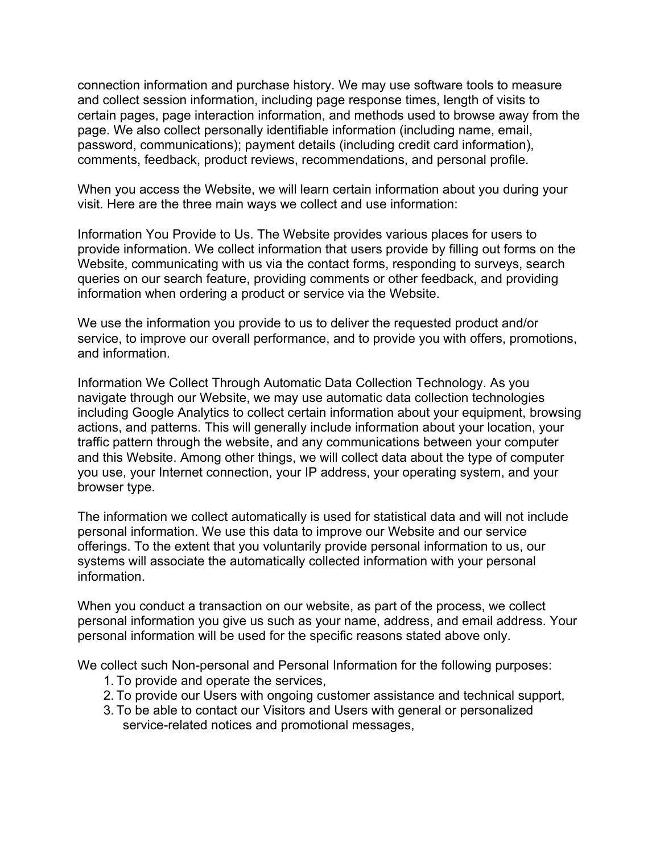connection information and purchase history. We may use software tools to measure and collect session information, including page response times, length of visits to certain pages, page interaction information, and methods used to browse away from the page. We also collect personally identifiable information (including name, email, password, communications); payment details (including credit card information), comments, feedback, product reviews, recommendations, and personal profile.

When you access the Website, we will learn certain information about you during your visit. Here are the three main ways we collect and use information:

Information You Provide to Us. The Website provides various places for users to provide information. We collect information that users provide by filling out forms on the Website, communicating with us via the contact forms, responding to surveys, search queries on our search feature, providing comments or other feedback, and providing information when ordering a product or service via the Website.

We use the information you provide to us to deliver the requested product and/or service, to improve our overall performance, and to provide you with offers, promotions, and information.

Information We Collect Through Automatic Data Collection Technology. As you navigate through our Website, we may use automatic data collection technologies including Google Analytics to collect certain information about your equipment, browsing actions, and patterns. This will generally include information about your location, your traffic pattern through the website, and any communications between your computer and this Website. Among other things, we will collect data about the type of computer you use, your Internet connection, your IP address, your operating system, and your browser type.

The information we collect automatically is used for statistical data and will not include personal information. We use this data to improve our Website and our service offerings. To the extent that you voluntarily provide personal information to us, our systems will associate the automatically collected information with your personal information.

When you conduct a transaction on our website, as part of the process, we collect personal information you give us such as your name, address, and email address. Your personal information will be used for the specific reasons stated above only.

We collect such Non-personal and Personal Information for the following purposes:

- 1. To provide and operate the services,
- 2. To provide our Users with ongoing customer assistance and technical support,
- 3. To be able to contact our Visitors and Users with general or personalized service-related notices and promotional messages,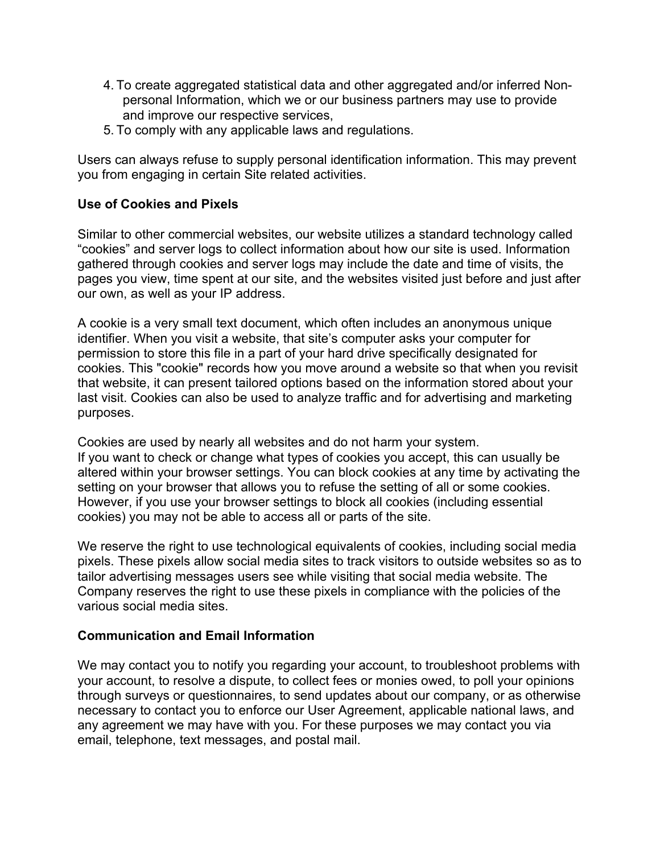- 4. To create aggregated statistical data and other aggregated and/or inferred Nonpersonal Information, which we or our business partners may use to provide and improve our respective services,
- 5. To comply with any applicable laws and regulations.

Users can always refuse to supply personal identification information. This may prevent you from engaging in certain Site related activities.

## **Use of Cookies and Pixels**

Similar to other commercial websites, our website utilizes a standard technology called "cookies" and server logs to collect information about how our site is used. Information gathered through cookies and server logs may include the date and time of visits, the pages you view, time spent at our site, and the websites visited just before and just after our own, as well as your IP address.

A cookie is a very small text document, which often includes an anonymous unique identifier. When you visit a website, that site's computer asks your computer for permission to store this file in a part of your hard drive specifically designated for cookies. This "cookie" records how you move around a website so that when you revisit that website, it can present tailored options based on the information stored about your last visit. Cookies can also be used to analyze traffic and for advertising and marketing purposes.

Cookies are used by nearly all websites and do not harm your system. If you want to check or change what types of cookies you accept, this can usually be altered within your browser settings. You can block cookies at any time by activating the setting on your browser that allows you to refuse the setting of all or some cookies. However, if you use your browser settings to block all cookies (including essential cookies) you may not be able to access all or parts of the site.

We reserve the right to use technological equivalents of cookies, including social media pixels. These pixels allow social media sites to track visitors to outside websites so as to tailor advertising messages users see while visiting that social media website. The Company reserves the right to use these pixels in compliance with the policies of the various social media sites.

## **Communication and Email Information**

We may contact you to notify you regarding your account, to troubleshoot problems with your account, to resolve a dispute, to collect fees or monies owed, to poll your opinions through surveys or questionnaires, to send updates about our company, or as otherwise necessary to contact you to enforce our User Agreement, applicable national laws, and any agreement we may have with you. For these purposes we may contact you via email, telephone, text messages, and postal mail.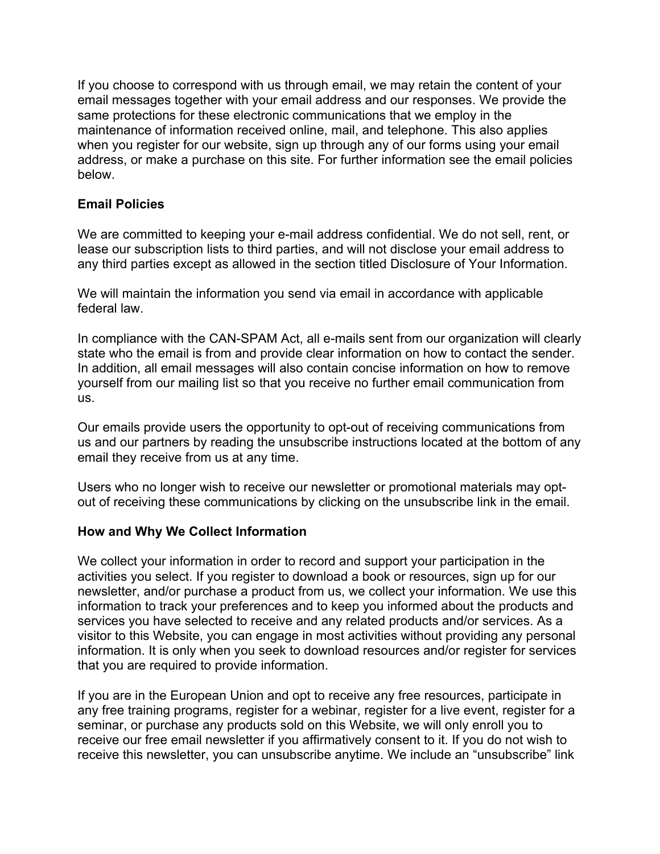If you choose to correspond with us through email, we may retain the content of your email messages together with your email address and our responses. We provide the same protections for these electronic communications that we employ in the maintenance of information received online, mail, and telephone. This also applies when you register for our website, sign up through any of our forms using your email address, or make a purchase on this site. For further information see the email policies below.

## **Email Policies**

We are committed to keeping your e-mail address confidential. We do not sell, rent, or lease our subscription lists to third parties, and will not disclose your email address to any third parties except as allowed in the section titled Disclosure of Your Information.

We will maintain the information you send via email in accordance with applicable federal law.

In compliance with the CAN-SPAM Act, all e-mails sent from our organization will clearly state who the email is from and provide clear information on how to contact the sender. In addition, all email messages will also contain concise information on how to remove yourself from our mailing list so that you receive no further email communication from us.

Our emails provide users the opportunity to opt-out of receiving communications from us and our partners by reading the unsubscribe instructions located at the bottom of any email they receive from us at any time.

Users who no longer wish to receive our newsletter or promotional materials may optout of receiving these communications by clicking on the unsubscribe link in the email.

#### **How and Why We Collect Information**

We collect your information in order to record and support your participation in the activities you select. If you register to download a book or resources, sign up for our newsletter, and/or purchase a product from us, we collect your information. We use this information to track your preferences and to keep you informed about the products and services you have selected to receive and any related products and/or services. As a visitor to this Website, you can engage in most activities without providing any personal information. It is only when you seek to download resources and/or register for services that you are required to provide information.

If you are in the European Union and opt to receive any free resources, participate in any free training programs, register for a webinar, register for a live event, register for a seminar, or purchase any products sold on this Website, we will only enroll you to receive our free email newsletter if you affirmatively consent to it. If you do not wish to receive this newsletter, you can unsubscribe anytime. We include an "unsubscribe" link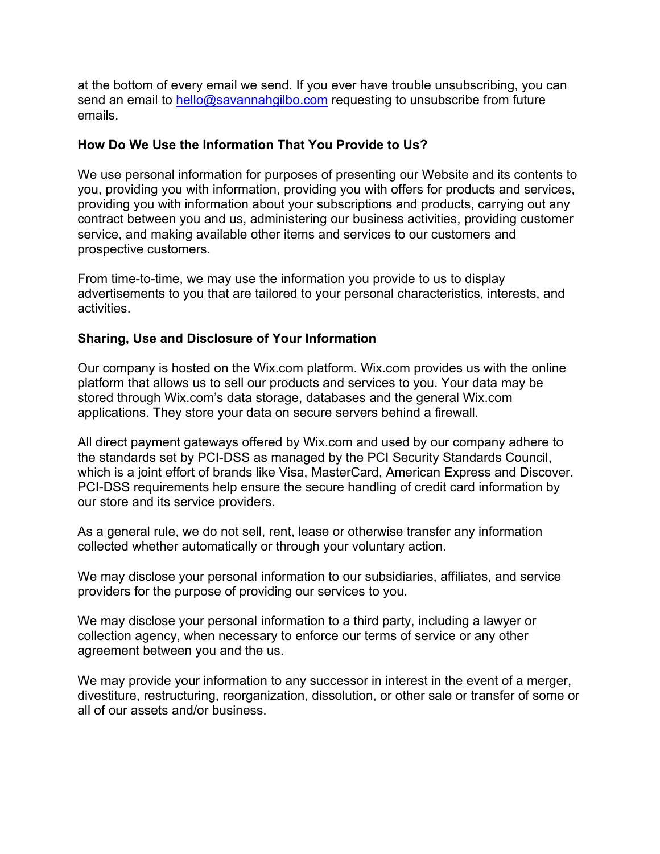at the bottom of every email we send. If you ever have trouble unsubscribing, you can send an email to hello@savannahgilbo.com requesting to unsubscribe from future emails.

## **How Do We Use the Information That You Provide to Us?**

We use personal information for purposes of presenting our Website and its contents to you, providing you with information, providing you with offers for products and services, providing you with information about your subscriptions and products, carrying out any contract between you and us, administering our business activities, providing customer service, and making available other items and services to our customers and prospective customers.

From time-to-time, we may use the information you provide to us to display advertisements to you that are tailored to your personal characteristics, interests, and activities.

## **Sharing, Use and Disclosure of Your Information**

Our company is hosted on the Wix.com platform. Wix.com provides us with the online platform that allows us to sell our products and services to you. Your data may be stored through Wix.com's data storage, databases and the general Wix.com applications. They store your data on secure servers behind a firewall.

All direct payment gateways offered by Wix.com and used by our company adhere to the standards set by PCI-DSS as managed by the PCI Security Standards Council, which is a joint effort of brands like Visa, MasterCard, American Express and Discover. PCI-DSS requirements help ensure the secure handling of credit card information by our store and its service providers.

As a general rule, we do not sell, rent, lease or otherwise transfer any information collected whether automatically or through your voluntary action.

We may disclose your personal information to our subsidiaries, affiliates, and service providers for the purpose of providing our services to you.

We may disclose your personal information to a third party, including a lawyer or collection agency, when necessary to enforce our terms of service or any other agreement between you and the us.

We may provide your information to any successor in interest in the event of a merger, divestiture, restructuring, reorganization, dissolution, or other sale or transfer of some or all of our assets and/or business.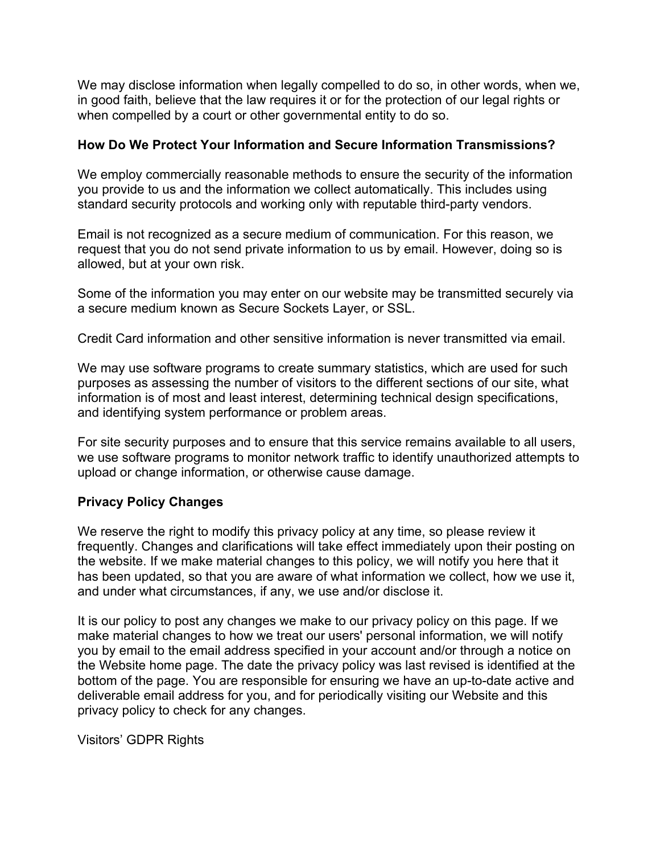We may disclose information when legally compelled to do so, in other words, when we, in good faith, believe that the law requires it or for the protection of our legal rights or when compelled by a court or other governmental entity to do so.

### **How Do We Protect Your Information and Secure Information Transmissions?**

We employ commercially reasonable methods to ensure the security of the information you provide to us and the information we collect automatically. This includes using standard security protocols and working only with reputable third-party vendors.

Email is not recognized as a secure medium of communication. For this reason, we request that you do not send private information to us by email. However, doing so is allowed, but at your own risk.

Some of the information you may enter on our website may be transmitted securely via a secure medium known as Secure Sockets Layer, or SSL.

Credit Card information and other sensitive information is never transmitted via email.

We may use software programs to create summary statistics, which are used for such purposes as assessing the number of visitors to the different sections of our site, what information is of most and least interest, determining technical design specifications, and identifying system performance or problem areas.

For site security purposes and to ensure that this service remains available to all users, we use software programs to monitor network traffic to identify unauthorized attempts to upload or change information, or otherwise cause damage.

## **Privacy Policy Changes**

We reserve the right to modify this privacy policy at any time, so please review it frequently. Changes and clarifications will take effect immediately upon their posting on the website. If we make material changes to this policy, we will notify you here that it has been updated, so that you are aware of what information we collect, how we use it, and under what circumstances, if any, we use and/or disclose it.

It is our policy to post any changes we make to our privacy policy on this page. If we make material changes to how we treat our users' personal information, we will notify you by email to the email address specified in your account and/or through a notice on the Website home page. The date the privacy policy was last revised is identified at the bottom of the page. You are responsible for ensuring we have an up-to-date active and deliverable email address for you, and for periodically visiting our Website and this privacy policy to check for any changes.

Visitors' GDPR Rights